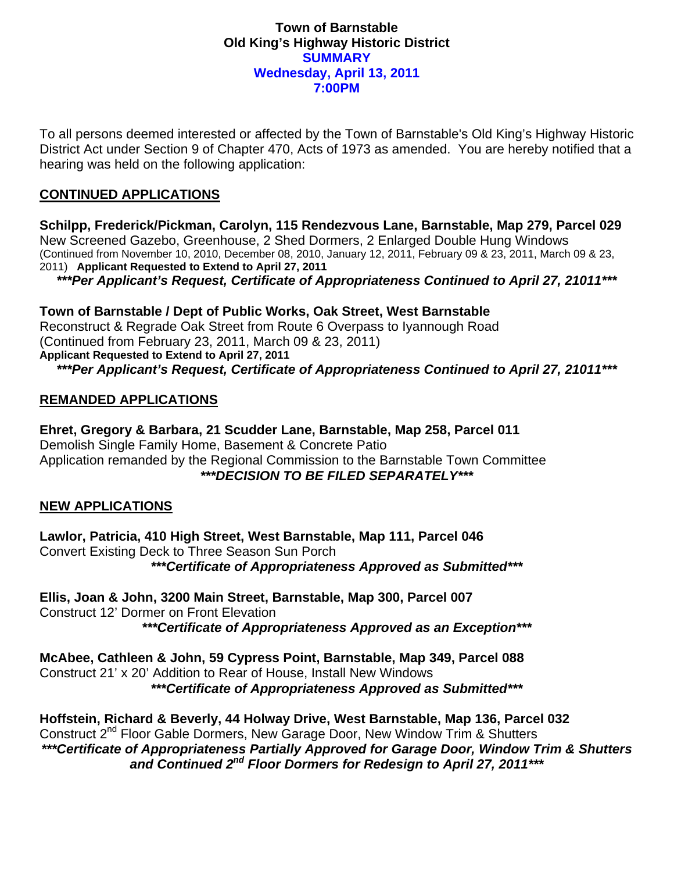#### **Town of Barnstable Old King's Highway Historic District SUMMARY Wednesday, April 13, 2011 7:00PM**

To all persons deemed interested or affected by the Town of Barnstable's Old King's Highway Historic District Act under Section 9 of Chapter 470, Acts of 1973 as amended. You are hereby notified that a hearing was held on the following application:

# **CONTINUED APPLICATIONS**

**Schilpp, Frederick/Pickman, Carolyn, 115 Rendezvous Lane, Barnstable, Map 279, Parcel 029**  New Screened Gazebo, Greenhouse, 2 Shed Dormers, 2 Enlarged Double Hung Windows (Continued from November 10, 2010, December 08, 2010, January 12, 2011, February 09 & 23, 2011, March 09 & 23, 2011) **Applicant Requested to Extend to April 27, 2011** 

*\*\*\*Per Applicant's Request, Certificate of Appropriateness Continued to April 27, 21011\*\*\** 

**Town of Barnstable / Dept of Public Works, Oak Street, West Barnstable**  Reconstruct & Regrade Oak Street from Route 6 Overpass to Iyannough Road (Continued from February 23, 2011, March 09 & 23, 2011) **Applicant Requested to Extend to April 27, 2011**  *\*\*\*Per Applicant's Request, Certificate of Appropriateness Continued to April 27, 21011\*\*\** 

### **REMANDED APPLICATIONS**

**Ehret, Gregory & Barbara, 21 Scudder Lane, Barnstable, Map 258, Parcel 011**  Demolish Single Family Home, Basement & Concrete Patio Application remanded by the Regional Commission to the Barnstable Town Committee *\*\*\*DECISION TO BE FILED SEPARATELY\*\*\** 

### **NEW APPLICATIONS**

**Lawlor, Patricia, 410 High Street, West Barnstable, Map 111, Parcel 046**  Convert Existing Deck to Three Season Sun Porch *\*\*\*Certificate of Appropriateness Approved as Submitted\*\*\** 

**Ellis, Joan & John, 3200 Main Street, Barnstable, Map 300, Parcel 007**  Construct 12' Dormer on Front Elevation *\*\*\*Certificate of Appropriateness Approved as an Exception\*\*\** 

**McAbee, Cathleen & John, 59 Cypress Point, Barnstable, Map 349, Parcel 088**  Construct 21' x 20' Addition to Rear of House, Install New Windows *\*\*\*Certificate of Appropriateness Approved as Submitted\*\*\** 

**Hoffstein, Richard & Beverly, 44 Holway Drive, West Barnstable, Map 136, Parcel 032**  Construct 2<sup>nd</sup> Floor Gable Dormers, New Garage Door, New Window Trim & Shutters *\*\*\*Certificate of Appropriateness Partially Approved for Garage Door, Window Trim & Shutters and Continued 2nd Floor Dormers for Redesign to April 27, 2011\*\*\**